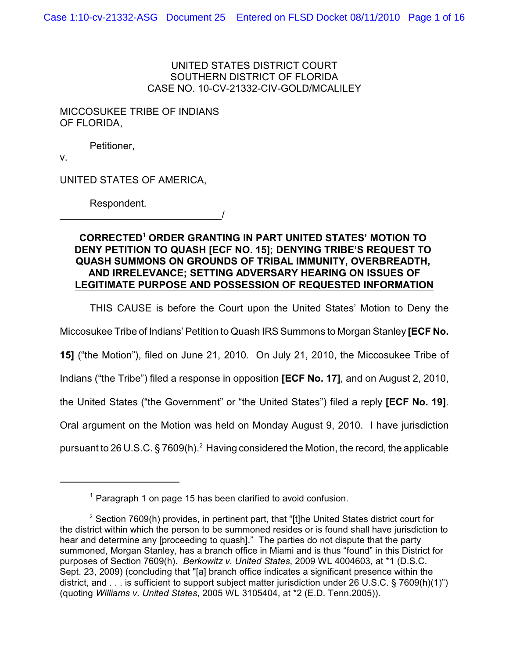UNITED STATES DISTRICT COURT SOUTHERN DISTRICT OF FLORIDA CASE NO. 10-CV-21332-CIV-GOLD/MCALILEY

MICCOSUKEE TRIBE OF INDIANS OF FLORIDA,

Petitioner,

v.

UNITED STATES OF AMERICA,

\_\_\_\_\_\_\_\_\_\_\_\_\_\_\_\_\_\_\_\_\_\_\_\_\_\_\_\_\_/

Respondent.

**CORRECTED ORDER GRANTING IN PART UNITED STATES' MOTION TO <sup>1</sup> DENY PETITION TO QUASH [ECF NO. 15]; DENYING TRIBE'S REQUEST TO QUASH SUMMONS ON GROUNDS OF TRIBAL IMMUNITY, OVERBREADTH, AND IRRELEVANCE; SETTING ADVERSARY HEARING ON ISSUES OF LEGITIMATE PURPOSE AND POSSESSION OF REQUESTED INFORMATION**

THIS CAUSE is before the Court upon the United States' Motion to Deny the Miccosukee Tribe of Indians' Petition to Quash IRS Summons to Morgan Stanley **[ECF No.**

**15]** ("the Motion"), filed on June 21, 2010. On July 21, 2010, the Miccosukee Tribe of

Indians ("the Tribe") filed a response in opposition **[ECF No. 17]**, and on August 2, 2010,

the United States ("the Government" or "the United States") filed a reply **[ECF No. 19]**.

Oral argument on the Motion was held on Monday August 9, 2010. I have jurisdiction

pursuant to 26 U.S.C. § 7609(h). $^2$  Having considered the Motion, the record, the applicable

 $1$  Paragraph 1 on page 15 has been clarified to avoid confusion.

<sup>&</sup>lt;sup>2</sup> Section 7609(h) provides, in pertinent part, that "[t]he United States district court for the district within which the person to be summoned resides or is found shall have jurisdiction to hear and determine any [proceeding to quash]." The parties do not dispute that the party summoned, Morgan Stanley, has a branch office in Miami and is thus "found" in this District for purposes of Section 7609(h). *Berkowitz v. United States*, 2009 WL 4004603, at \*1 (D.S.C. Sept. 23, 2009) (concluding that "[a] branch office indicates a significant presence within the district, and . . . is sufficient to support subject matter jurisdiction under 26 U.S.C. § 7609(h)(1)") (quoting *Williams v. United States*, 2005 WL 3105404, at \*2 (E.D. Tenn.2005)).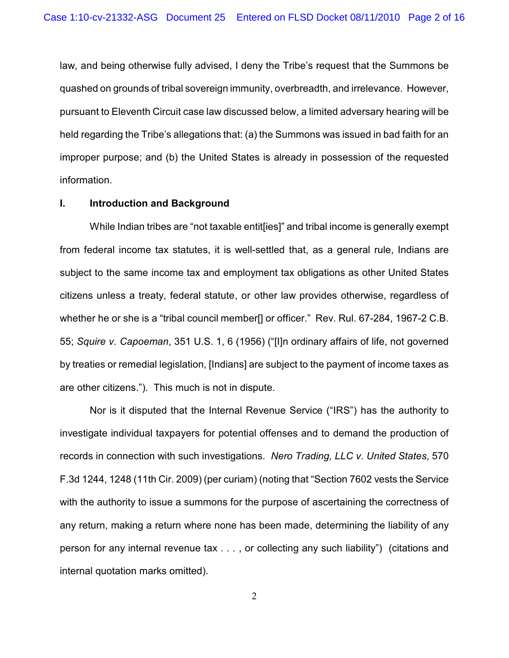law, and being otherwise fully advised, I deny the Tribe's request that the Summons be quashed on grounds of tribal sovereign immunity, overbreadth, and irrelevance. However, pursuant to Eleventh Circuit case law discussed below, a limited adversary hearing will be held regarding the Tribe's allegations that: (a) the Summons was issued in bad faith for an improper purpose; and (b) the United States is already in possession of the requested information.

#### **I. Introduction and Background**

While Indian tribes are "not taxable entit[ies]" and tribal income is generally exempt from federal income tax statutes, it is well-settled that, as a general rule, Indians are subject to the same income tax and employment tax obligations as other United States citizens unless a treaty, federal statute, or other law provides otherwise, regardless of whether he or she is a "tribal council member[] or officer." Rev. Rul. 67-284, 1967-2 C.B. 55; *Squire v. Capoeman*, 351 U.S. 1, 6 (1956) ("[I]n ordinary affairs of life, not governed by treaties or remedial legislation, [Indians] are subject to the payment of income taxes as are other citizens."). This much is not in dispute.

Nor is it disputed that the Internal Revenue Service ("IRS") has the authority to investigate individual taxpayers for potential offenses and to demand the production of records in connection with such investigations. *Nero Trading, LLC v. United States*, 570 F.3d 1244, 1248 (11th Cir. 2009) (per curiam) (noting that "Section 7602 vests the Service with the authority to issue a summons for the purpose of ascertaining the correctness of any return, making a return where none has been made, determining the liability of any person for any internal revenue tax . . . , or collecting any such liability") (citations and internal quotation marks omitted).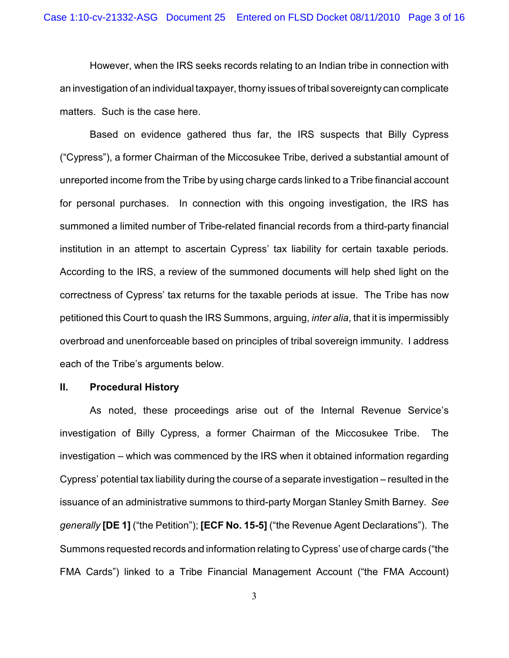However, when the IRS seeks records relating to an Indian tribe in connection with an investigation of an individual taxpayer, thorny issues of tribal sovereignty can complicate matters. Such is the case here.

Based on evidence gathered thus far, the IRS suspects that Billy Cypress ("Cypress"), a former Chairman of the Miccosukee Tribe, derived a substantial amount of unreported income from the Tribe by using charge cards linked to a Tribe financial account for personal purchases. In connection with this ongoing investigation, the IRS has summoned a limited number of Tribe-related financial records from a third-party financial institution in an attempt to ascertain Cypress' tax liability for certain taxable periods. According to the IRS, a review of the summoned documents will help shed light on the correctness of Cypress' tax returns for the taxable periods at issue. The Tribe has now petitioned this Court to quash the IRS Summons, arguing, *inter alia*, that it is impermissibly overbroad and unenforceable based on principles of tribal sovereign immunity. I address each of the Tribe's arguments below.

#### **II. Procedural History**

As noted, these proceedings arise out of the Internal Revenue Service's investigation of Billy Cypress, a former Chairman of the Miccosukee Tribe. The investigation – which was commenced by the IRS when it obtained information regarding Cypress' potential tax liability during the course of a separate investigation – resulted in the issuance of an administrative summons to third-party Morgan Stanley Smith Barney. *See generally* **[DE 1]** ("the Petition"); **[ECF No. 15-5]** ("the Revenue Agent Declarations"). The Summons requested records and information relating to Cypress' use of charge cards ("the FMA Cards") linked to a Tribe Financial Management Account ("the FMA Account)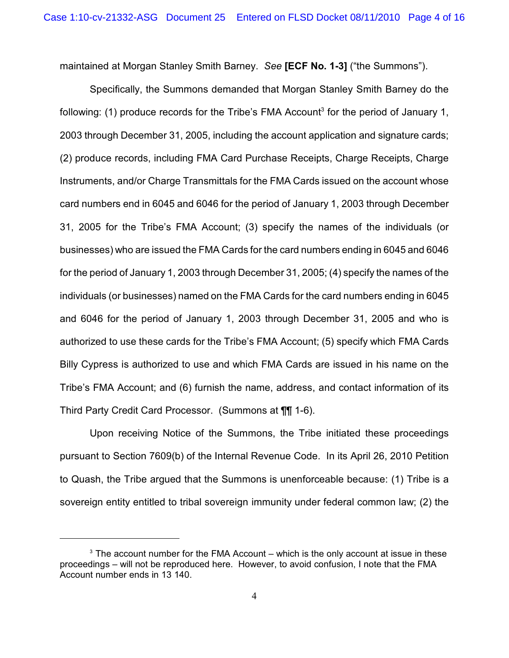maintained at Morgan Stanley Smith Barney. *See* **[ECF No. 1-3]** ("the Summons").

Specifically, the Summons demanded that Morgan Stanley Smith Barney do the following: (1) produce records for the Tribe's FMA Account<sup>3</sup> for the period of January 1, 2003 through December 31, 2005, including the account application and signature cards; (2) produce records, including FMA Card Purchase Receipts, Charge Receipts, Charge Instruments, and/or Charge Transmittals for the FMA Cards issued on the account whose card numbers end in 6045 and 6046 for the period of January 1, 2003 through December 31, 2005 for the Tribe's FMA Account; (3) specify the names of the individuals (or businesses) who are issued the FMA Cards for the card numbers ending in 6045 and 6046 for the period of January 1, 2003 through December 31, 2005; (4) specify the names of the individuals (or businesses) named on the FMA Cards for the card numbers ending in 6045 and 6046 for the period of January 1, 2003 through December 31, 2005 and who is authorized to use these cards for the Tribe's FMA Account; (5) specify which FMA Cards Billy Cypress is authorized to use and which FMA Cards are issued in his name on the Tribe's FMA Account; and (6) furnish the name, address, and contact information of its Third Party Credit Card Processor. (Summons at ¶¶ 1-6).

Upon receiving Notice of the Summons, the Tribe initiated these proceedings pursuant to Section 7609(b) of the Internal Revenue Code. In its April 26, 2010 Petition to Quash, the Tribe argued that the Summons is unenforceable because: (1) Tribe is a sovereign entity entitled to tribal sovereign immunity under federal common law; (2) the

 $3$  The account number for the FMA Account – which is the only account at issue in these proceedings – will not be reproduced here. However, to avoid confusion, I note that the FMA Account number ends in 13 140.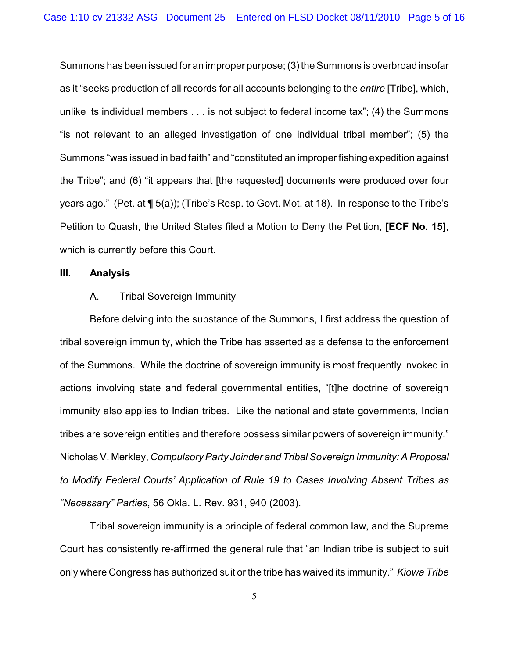Summons has been issued for an improper purpose; (3) the Summons is overbroad insofar as it "seeks production of all records for all accounts belonging to the *entire* [Tribe], which, unlike its individual members . . . is not subject to federal income tax"; (4) the Summons "is not relevant to an alleged investigation of one individual tribal member"; (5) the Summons "was issued in bad faith" and "constituted an improper fishing expedition against the Tribe"; and (6) "it appears that [the requested] documents were produced over four years ago." (Pet. at ¶ 5(a)); (Tribe's Resp. to Govt. Mot. at 18). In response to the Tribe's Petition to Quash, the United States filed a Motion to Deny the Petition, **[ECF No. 15]**, which is currently before this Court.

#### **III. Analysis**

### A. Tribal Sovereign Immunity

Before delving into the substance of the Summons, I first address the question of tribal sovereign immunity, which the Tribe has asserted as a defense to the enforcement of the Summons. While the doctrine of sovereign immunity is most frequently invoked in actions involving state and federal governmental entities, "[t]he doctrine of sovereign immunity also applies to Indian tribes. Like the national and state governments, Indian tribes are sovereign entities and therefore possess similar powers of sovereign immunity." Nicholas V. Merkley, *Compulsory Party Joinder and Tribal Sovereign Immunity: A Proposal to Modify Federal Courts' Application of Rule 19 to Cases Involving Absent Tribes as "Necessary" Parties*, 56 Okla. L. Rev. 931, 940 (2003).

Tribal sovereign immunity is a principle of federal common law, and the Supreme Court has consistently re-affirmed the general rule that "an Indian tribe is subject to suit only where Congress has authorized suit or the tribe has waived its immunity." *Kiowa Tribe*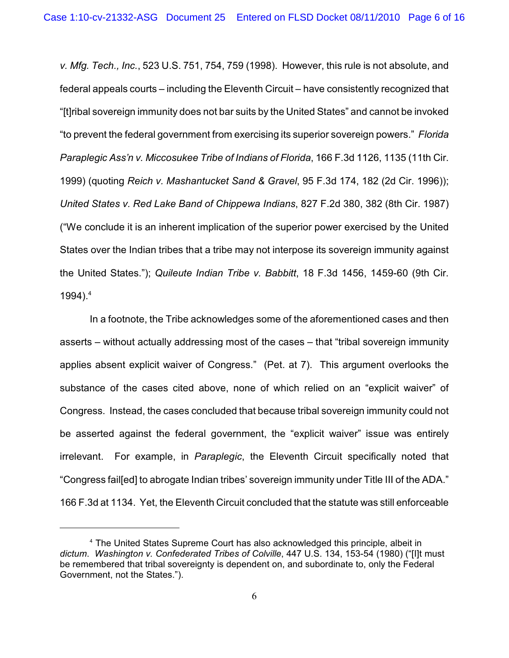*v. Mfg. Tech., Inc.*, 523 U.S. 751, 754, 759 (1998). However, this rule is not absolute, and federal appeals courts – including the Eleventh Circuit – have consistently recognized that "[t]ribal sovereign immunity does not bar suits by the United States" and cannot be invoked "to prevent the federal government from exercising its superior sovereign powers." *Florida Paraplegic Ass'n v. Miccosukee Tribe of Indians of Florida*, 166 F.3d 1126, 1135 (11th Cir. 1999) (quoting *Reich v. Mashantucket Sand & Gravel*, 95 F.3d 174, 182 (2d Cir. 1996)); *United States v. Red Lake Band of Chippewa Indians*, 827 F.2d 380, 382 (8th Cir. 1987) ("We conclude it is an inherent implication of the superior power exercised by the United States over the Indian tribes that a tribe may not interpose its sovereign immunity against the United States."); *Quileute Indian Tribe v. Babbitt*, 18 F.3d 1456, 1459-60 (9th Cir. 1994). $4$ 

In a footnote, the Tribe acknowledges some of the aforementioned cases and then asserts – without actually addressing most of the cases – that "tribal sovereign immunity applies absent explicit waiver of Congress." (Pet. at 7). This argument overlooks the substance of the cases cited above, none of which relied on an "explicit waiver" of Congress. Instead, the cases concluded that because tribal sovereign immunity could not be asserted against the federal government, the "explicit waiver" issue was entirely irrelevant. For example, in *Paraplegic*, the Eleventh Circuit specifically noted that "Congress fail[ed] to abrogate Indian tribes' sovereign immunity under Title III of the ADA." 166 F.3d at 1134. Yet, the Eleventh Circuit concluded that the statute was still enforceable

<sup>&</sup>lt;sup>4</sup> The United States Supreme Court has also acknowledged this principle, albeit in *dictum*. *Washington v. Confederated Tribes of Colville*, 447 U.S. 134, 153-54 (1980) ("[I]t must be remembered that tribal sovereignty is dependent on, and subordinate to, only the Federal Government, not the States.").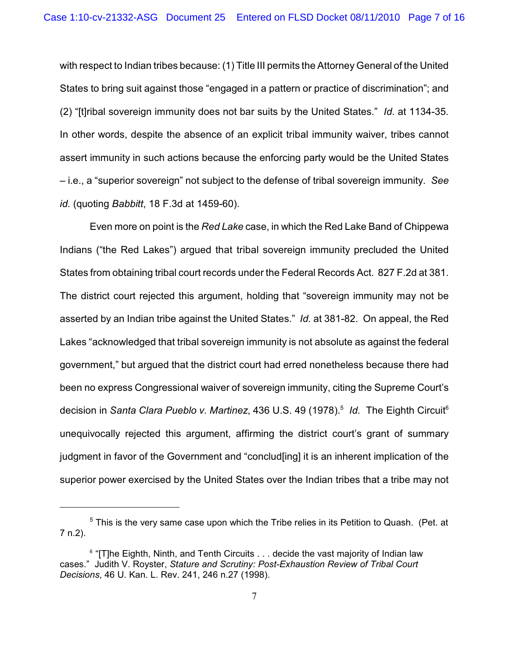with respect to Indian tribes because: (1) Title III permits the Attorney General of the United States to bring suit against those "engaged in a pattern or practice of discrimination"; and (2) "[t]ribal sovereign immunity does not bar suits by the United States." *Id.* at 1134-35*.* In other words, despite the absence of an explicit tribal immunity waiver, tribes cannot assert immunity in such actions because the enforcing party would be the United States – i.e., a "superior sovereign" not subject to the defense of tribal sovereign immunity. *See id.* (quoting *Babbitt*, 18 F.3d at 1459-60).

Even more on point is the *Red Lake* case, in which the Red Lake Band of Chippewa Indians ("the Red Lakes") argued that tribal sovereign immunity precluded the United States from obtaining tribal court records under the Federal Records Act. 827 F.2d at 381. The district court rejected this argument, holding that "sovereign immunity may not be asserted by an Indian tribe against the United States." *Id.* at 381-82. On appeal, the Red Lakes "acknowledged that tribal sovereign immunity is not absolute as against the federal government," but argued that the district court had erred nonetheless because there had been no express Congressional waiver of sovereign immunity, citing the Supreme Court's decision in *Santa Clara Pueblo v. Martinez*, 436 U.S. 49 (1978).<sup>5</sup> Id. The Eighth Circuit<sup>6</sup> unequivocally rejected this argument, affirming the district court's grant of summary judgment in favor of the Government and "conclud[ing] it is an inherent implication of the superior power exercised by the United States over the Indian tribes that a tribe may not

 $5$  This is the very same case upon which the Tribe relies in its Petition to Quash. (Pet. at 7 n.2).

 $6$  "[T]he Eighth, Ninth, and Tenth Circuits  $\dots$  decide the vast majority of Indian law cases." Judith V. Royster, *Stature and Scrutiny: Post-Exhaustion Review of Tribal Court Decisions*, 46 U. Kan. L. Rev. 241, 246 n.27 (1998).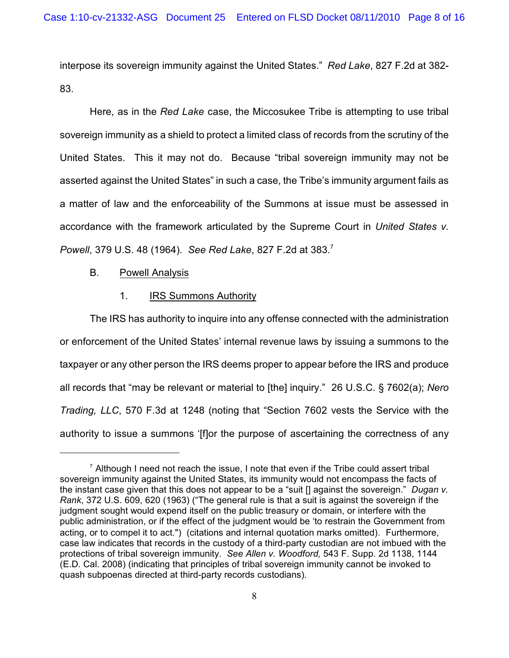interpose its sovereign immunity against the United States." *Red Lake*, 827 F.2d at 382- 83.

Here, as in the *Red Lake* case, the Miccosukee Tribe is attempting to use tribal sovereign immunity as a shield to protect a limited class of records from the scrutiny of the United States. This it may not do. Because "tribal sovereign immunity may not be asserted against the United States" in such a case, the Tribe's immunity argument fails as a matter of law and the enforceability of the Summons at issue must be assessed in accordance with the framework articulated by the Supreme Court in *United States v. Powell*, 379 U.S. 48 (1964). *See Red Lake*, 827 F.2d at 383. 7

B. Powell Analysis

# 1. IRS Summons Authority

The IRS has authority to inquire into any offense connected with the administration or enforcement of the United States' internal revenue laws by issuing a summons to the taxpayer or any other person the IRS deems proper to appear before the IRS and produce all records that "may be relevant or material to [the] inquiry." 26 U.S.C. § 7602(a); *Nero Trading, LLC*, 570 F.3d at 1248 (noting that "Section 7602 vests the Service with the authority to issue a summons '[f]or the purpose of ascertaining the correctness of any

 $^7$  Although I need not reach the issue, I note that even if the Tribe could assert tribal sovereign immunity against the United States, its immunity would not encompass the facts of the instant case given that this does not appear to be a "suit [] against the sovereign." *Dugan v. Rank*, 372 U.S. 609, 620 (1963) ("The general rule is that a suit is against the sovereign if the judgment sought would expend itself on the public treasury or domain, or interfere with the public administration, or if the effect of the judgment would be 'to restrain the Government from acting, or to compel it to act.") (citations and internal quotation marks omitted). Furthermore, case law indicates that records in the custody of a third-party custodian are not imbued with the protections of tribal sovereign immunity. *See Allen v. Woodford,* 543 F. Supp. 2d 1138, 1144 (E.D. Cal. 2008) (indicating that principles of tribal sovereign immunity cannot be invoked to quash subpoenas directed at third-party records custodians).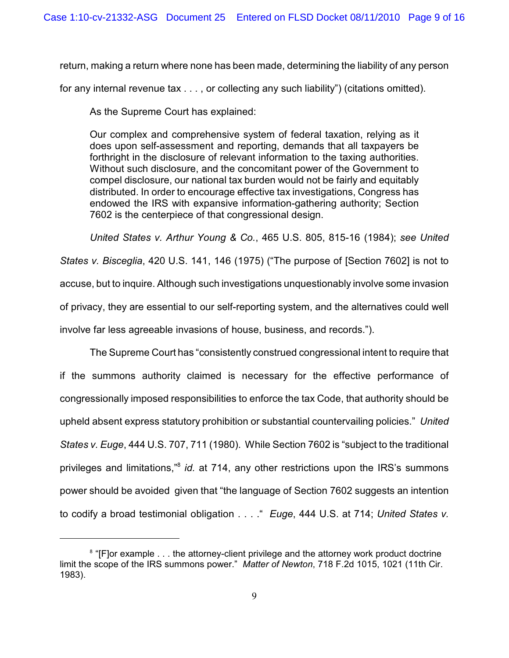return, making a return where none has been made, determining the liability of any person

for any internal revenue tax . . . , or collecting any such liability") (citations omitted).

As the Supreme Court has explained:

Our complex and comprehensive system of federal taxation, relying as it does upon self-assessment and reporting, demands that all taxpayers be forthright in the disclosure of relevant information to the taxing authorities. Without such disclosure, and the concomitant power of the Government to compel disclosure, our national tax burden would not be fairly and equitably distributed. In order to encourage effective tax investigations, Congress has endowed the IRS with expansive information-gathering authority; Section 7602 is the centerpiece of that congressional design.

*United States v. Arthur Young & Co.*, 465 U.S. 805, 815-16 (1984); *see United States v. Bisceglia*, 420 U.S. 141, 146 (1975) ("The purpose of [Section 7602] is not to accuse, but to inquire. Although such investigations unquestionably involve some invasion of privacy, they are essential to our self-reporting system, and the alternatives could well involve far less agreeable invasions of house, business, and records.").

The Supreme Court has "consistently construed congressional intent to require that if the summons authority claimed is necessary for the effective performance of congressionally imposed responsibilities to enforce the tax Code, that authority should be upheld absent express statutory prohibition or substantial countervailing policies." *United States v. Euge*, 444 U.S. 707, 711 (1980). While Section 7602 is "subject to the traditional privileges and limitations,<sup>38</sup> id. at 714, any other restrictions upon the IRS's summons power should be avoided given that "the language of Section 7602 suggests an intention to codify a broad testimonial obligation . . . ." *Euge*, 444 U.S. at 714; *United States v.*

<sup>&</sup>lt;sup>8</sup> "[F]or example . . . the attorney-client privilege and the attorney work product doctrine limit the scope of the IRS summons power." *Matter of Newton*, 718 F.2d 1015, 1021 (11th Cir. 1983).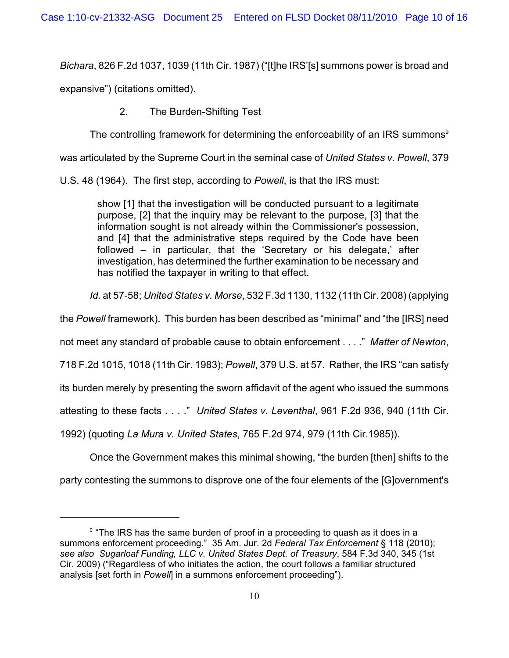*Bichara*, 826 F.2d 1037, 1039 (11th Cir. 1987) ("[t]he IRS'[s] summons power is broad and

expansive") (citations omitted).

# 2. The Burden-Shifting Test

The controlling framework for determining the enforceability of an IRS summons $9$ 

was articulated by the Supreme Court in the seminal case of *United States v. Powell*, 379

U.S. 48 (1964). The first step, according to *Powell*, is that the IRS must:

show [1] that the investigation will be conducted pursuant to a legitimate purpose, [2] that the inquiry may be relevant to the purpose, [3] that the information sought is not already within the Commissioner's possession, and [4] that the administrative steps required by the Code have been followed – in particular, that the 'Secretary or his delegate,' after investigation, has determined the further examination to be necessary and has notified the taxpayer in writing to that effect.

*Id.* at 57-58; *United States v. Morse*, 532 F.3d 1130, 1132 (11th Cir. 2008) (applying

the *Powell* framework). This burden has been described as "minimal" and "the [IRS] need

not meet any standard of probable cause to obtain enforcement . . . ." *Matter of Newton*,

718 F.2d 1015, 1018 (11th Cir. 1983); *Powell*, 379 U.S. at 57. Rather, the IRS "can satisfy

its burden merely by presenting the sworn affidavit of the agent who issued the summons

attesting to these facts . . . ." *United States v. Leventhal*, 961 F.2d 936, 940 (11th Cir.

1992) (quoting *La Mura v. United States*, 765 F.2d 974, 979 (11th Cir.1985)).

Once the Government makes this minimal showing, "the burden [then] shifts to the

party contesting the summons to disprove one of the four elements of the [G]overnment's

 $9$  "The IRS has the same burden of proof in a proceeding to quash as it does in a summons enforcement proceeding." 35 Am. Jur. 2d *Federal Tax Enforcement* § 118 (2010); *see also Sugarloaf Funding, LLC v. United States Dept. of Treasury*, 584 F.3d 340, 345 (1st Cir. 2009) ("Regardless of who initiates the action, the court follows a familiar structured analysis [set forth in *Powell*] in a summons enforcement proceeding").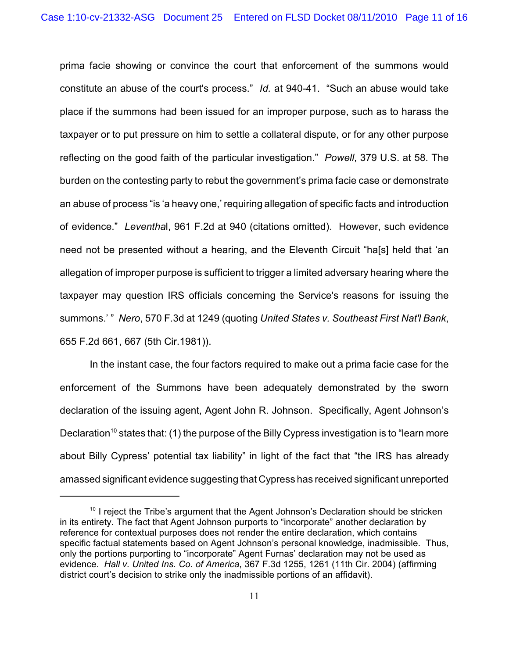prima facie showing or convince the court that enforcement of the summons would constitute an abuse of the court's process." *Id.* at 940-41. "Such an abuse would take place if the summons had been issued for an improper purpose, such as to harass the taxpayer or to put pressure on him to settle a collateral dispute, or for any other purpose reflecting on the good faith of the particular investigation." *Powell*, 379 U.S. at 58. The burden on the contesting party to rebut the government's prima facie case or demonstrate an abuse of process "is 'a heavy one,' requiring allegation of specific facts and introduction of evidence." *Leventha*l, 961 F.2d at 940 (citations omitted). However, such evidence need not be presented without a hearing, and the Eleventh Circuit "ha[s] held that 'an allegation of improper purpose is sufficient to trigger a limited adversary hearing where the taxpayer may question IRS officials concerning the Service's reasons for issuing the summons.' " *Nero*, 570 F.3d at 1249 (quoting *United States v. Southeast First Nat'l Bank*, 655 F.2d 661, 667 (5th Cir.1981)).

In the instant case, the four factors required to make out a prima facie case for the enforcement of the Summons have been adequately demonstrated by the sworn declaration of the issuing agent, Agent John R. Johnson. Specifically, Agent Johnson's Declaration<sup>10</sup> states that: (1) the purpose of the Billy Cypress investigation is to "learn more about Billy Cypress' potential tax liability" in light of the fact that "the IRS has already amassed significant evidence suggesting that Cypress has received significant unreported

 $10$  I reject the Tribe's argument that the Agent Johnson's Declaration should be stricken in its entirety. The fact that Agent Johnson purports to "incorporate" another declaration by reference for contextual purposes does not render the entire declaration, which contains specific factual statements based on Agent Johnson's personal knowledge, inadmissible. Thus, only the portions purporting to "incorporate" Agent Furnas' declaration may not be used as evidence. *Hall v. United Ins. Co. of America*, 367 F.3d 1255, 1261 (11th Cir. 2004) (affirming district court's decision to strike only the inadmissible portions of an affidavit).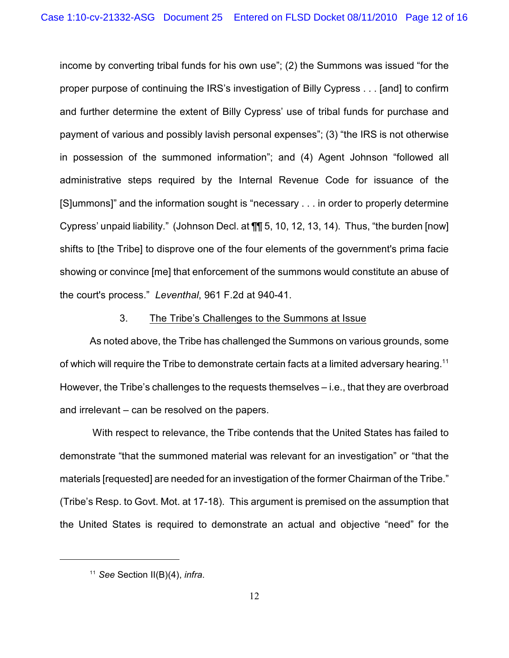income by converting tribal funds for his own use"; (2) the Summons was issued "for the proper purpose of continuing the IRS's investigation of Billy Cypress . . . [and] to confirm and further determine the extent of Billy Cypress' use of tribal funds for purchase and payment of various and possibly lavish personal expenses"; (3) "the IRS is not otherwise in possession of the summoned information"; and (4) Agent Johnson "followed all administrative steps required by the Internal Revenue Code for issuance of the [S]ummons]" and the information sought is "necessary . . . in order to properly determine Cypress' unpaid liability." (Johnson Decl. at ¶¶ 5, 10, 12, 13, 14). Thus, "the burden [now] shifts to [the Tribe] to disprove one of the four elements of the government's prima facie showing or convince [me] that enforcement of the summons would constitute an abuse of the court's process." *Leventhal*, 961 F.2d at 940-41.

### 3. The Tribe's Challenges to the Summons at Issue

As noted above, the Tribe has challenged the Summons on various grounds, some of which will require the Tribe to demonstrate certain facts at a limited adversary hearing.<sup>11</sup> However, the Tribe's challenges to the requests themselves – i.e., that they are overbroad and irrelevant – can be resolved on the papers.

 With respect to relevance, the Tribe contends that the United States has failed to demonstrate "that the summoned material was relevant for an investigation" or "that the materials [requested] are needed for an investigation of the former Chairman of the Tribe." (Tribe's Resp. to Govt. Mot. at 17-18). This argument is premised on the assumption that the United States is required to demonstrate an actual and objective "need" for the

<sup>&</sup>lt;sup>11</sup> See Section II(B)(4), *infra*.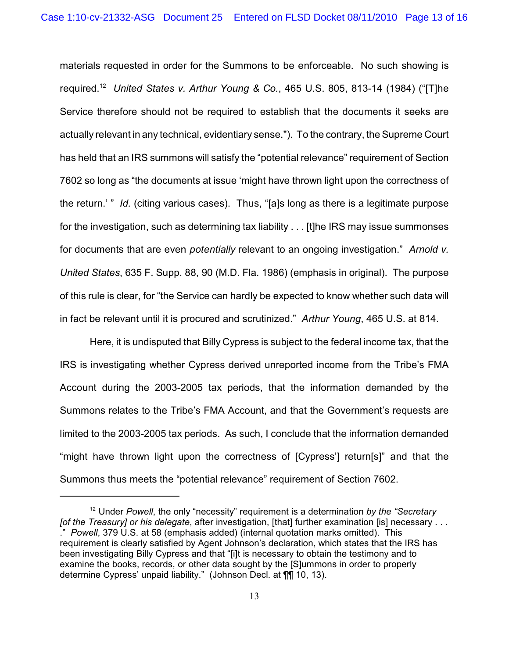materials requested in order for the Summons to be enforceable. No such showing is required. *United States v. Arthur Young & Co.*, 465 U.S. 805, 813-14 (1984) ("[T]he <sup>12</sup> Service therefore should not be required to establish that the documents it seeks are actually relevant in any technical, evidentiary sense."). To the contrary, the Supreme Court has held that an IRS summons will satisfy the "potential relevance" requirement of Section 7602 so long as "the documents at issue 'might have thrown light upon the correctness of the return.' " *Id.* (citing various cases). Thus, "[a]s long as there is a legitimate purpose for the investigation, such as determining tax liability . . . [t]he IRS may issue summonses for documents that are even *potentially* relevant to an ongoing investigation." *Arnold v. United States*, 635 F. Supp. 88, 90 (M.D. Fla. 1986) (emphasis in original). The purpose of this rule is clear, for "the Service can hardly be expected to know whether such data will in fact be relevant until it is procured and scrutinized." *Arthur Young*, 465 U.S. at 814.

Here, it is undisputed that Billy Cypress is subject to the federal income tax, that the IRS is investigating whether Cypress derived unreported income from the Tribe's FMA Account during the 2003-2005 tax periods, that the information demanded by the Summons relates to the Tribe's FMA Account, and that the Government's requests are limited to the 2003-2005 tax periods. As such, I conclude that the information demanded "might have thrown light upon the correctness of [Cypress'] return[s]" and that the Summons thus meets the "potential relevance" requirement of Section 7602.

<sup>&</sup>lt;sup>12</sup> Under *Powell*, the only "necessity" requirement is a determination *by the "Secretary [of the Treasury] or his delegate*, after investigation, [that] further examination [is] necessary . . . ." *Powell*, 379 U.S. at 58 (emphasis added) (internal quotation marks omitted). This requirement is clearly satisfied by Agent Johnson's declaration, which states that the IRS has been investigating Billy Cypress and that "[i]t is necessary to obtain the testimony and to examine the books, records, or other data sought by the [S]ummons in order to properly determine Cypress' unpaid liability." (Johnson Decl. at ¶¶ 10, 13).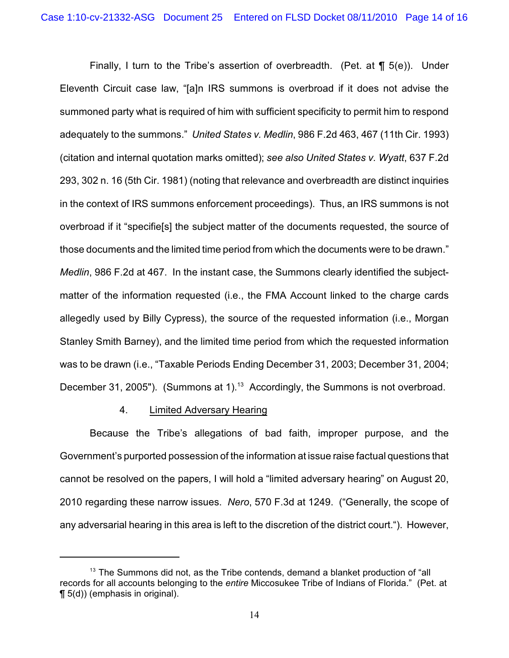Finally, I turn to the Tribe's assertion of overbreadth. (Pet. at ¶ 5(e)). Under Eleventh Circuit case law, "[a]n IRS summons is overbroad if it does not advise the summoned party what is required of him with sufficient specificity to permit him to respond adequately to the summons." *United States v. Medlin*, 986 F.2d 463, 467 (11th Cir. 1993) (citation and internal quotation marks omitted); *see also United States v. Wyatt*, 637 F.2d 293, 302 n. 16 (5th Cir. 1981) (noting that relevance and overbreadth are distinct inquiries in the context of IRS summons enforcement proceedings). Thus, an IRS summons is not overbroad if it "specifie[s] the subject matter of the documents requested, the source of those documents and the limited time period from which the documents were to be drawn." *Medlin*, 986 F.2d at 467. In the instant case, the Summons clearly identified the subjectmatter of the information requested (i.e., the FMA Account linked to the charge cards allegedly used by Billy Cypress), the source of the requested information (i.e., Morgan Stanley Smith Barney), and the limited time period from which the requested information was to be drawn (i.e., "Taxable Periods Ending December 31, 2003; December 31, 2004; December 31, 2005"). (Summons at 1).<sup>13</sup> Accordingly, the Summons is not overbroad.

# 4. Limited Adversary Hearing

Because the Tribe's allegations of bad faith, improper purpose, and the Government's purported possession of the information at issue raise factual questions that cannot be resolved on the papers, I will hold a "limited adversary hearing" on August 20, 2010 regarding these narrow issues. *Nero*, 570 F.3d at 1249. ("Generally, the scope of any adversarial hearing in this area is left to the discretion of the district court."). However,

 $13$  The Summons did not, as the Tribe contends, demand a blanket production of "all records for all accounts belonging to the *entire* Miccosukee Tribe of Indians of Florida." (Pet. at ¶ 5(d)) (emphasis in original).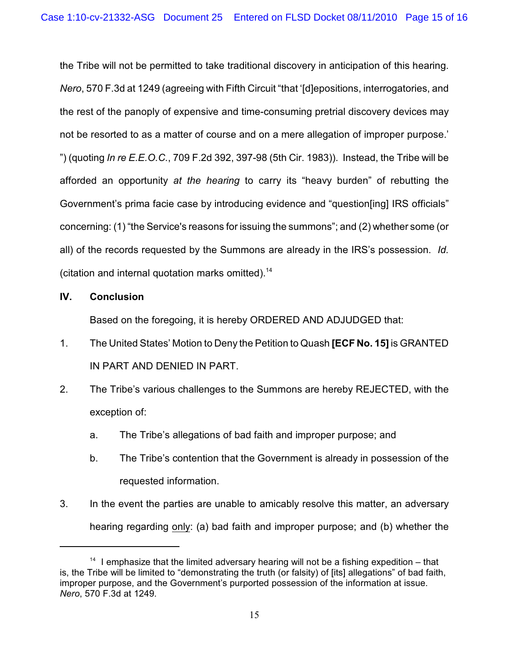the Tribe will not be permitted to take traditional discovery in anticipation of this hearing. *Nero*, 570 F.3d at 1249 (agreeing with Fifth Circuit "that '[d]epositions, interrogatories, and the rest of the panoply of expensive and time-consuming pretrial discovery devices may not be resorted to as a matter of course and on a mere allegation of improper purpose.' ") (quoting *In re E.E.O.C.*, 709 F.2d 392, 397-98 (5th Cir. 1983)). Instead, the Tribe will be afforded an opportunity *at the hearing* to carry its "heavy burden" of rebutting the Government's prima facie case by introducing evidence and "question[ing] IRS officials" concerning: (1) "the Service's reasons for issuing the summons"; and (2) whether some (or all) of the records requested by the Summons are already in the IRS's possession. *Id.* (citation and internal quotation marks omitted).<sup>14</sup>

# **IV. Conclusion**

Based on the foregoing, it is hereby ORDERED AND ADJUDGED that:

- 1. The United States' Motion to Deny the Petition to Quash **[ECF No. 15]** is GRANTED IN PART AND DENIED IN PART.
- 2. The Tribe's various challenges to the Summons are hereby REJECTED, with the exception of:
	- a. The Tribe's allegations of bad faith and improper purpose; and
	- b. The Tribe's contention that the Government is already in possession of the requested information.
- 3. In the event the parties are unable to amicably resolve this matter, an adversary hearing regarding only: (a) bad faith and improper purpose; and (b) whether the

 $14$  I emphasize that the limited adversary hearing will not be a fishing expedition – that is, the Tribe will be limited to "demonstrating the truth (or falsity) of [its] allegations" of bad faith, improper purpose, and the Government's purported possession of the information at issue. *Nero*, 570 F.3d at 1249.